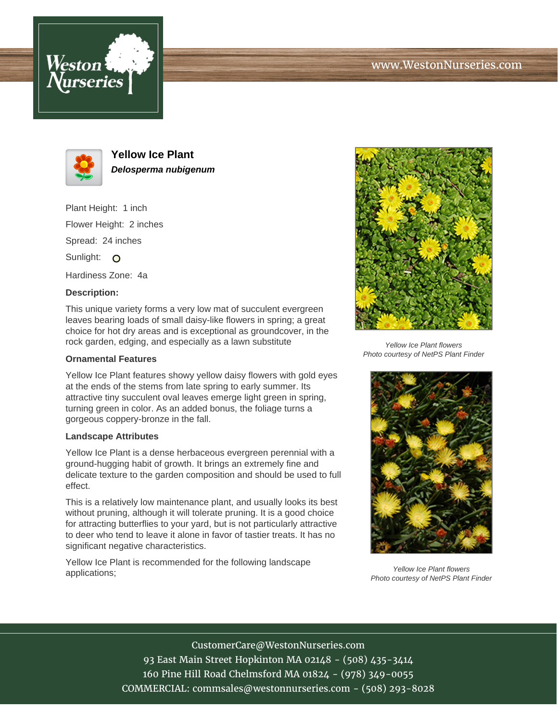





**Yellow Ice Plant Delosperma nubigenum**

Plant Height: 1 inch Flower Height: 2 inches Spread: 24 inches Sunlight: O

Hardiness Zone: 4a

## **Description:**

This unique variety forms a very low mat of succulent evergreen leaves bearing loads of small daisy-like flowers in spring; a great choice for hot dry areas and is exceptional as groundcover, in the rock garden, edging, and especially as a lawn substitute

## **Ornamental Features**

Yellow Ice Plant features showy yellow daisy flowers with gold eyes at the ends of the stems from late spring to early summer. Its attractive tiny succulent oval leaves emerge light green in spring, turning green in color. As an added bonus, the foliage turns a gorgeous coppery-bronze in the fall.

## **Landscape Attributes**

Yellow Ice Plant is a dense herbaceous evergreen perennial with a ground-hugging habit of growth. It brings an extremely fine and delicate texture to the garden composition and should be used to full effect.

This is a relatively low maintenance plant, and usually looks its best without pruning, although it will tolerate pruning. It is a good choice for attracting butterflies to your yard, but is not particularly attractive to deer who tend to leave it alone in favor of tastier treats. It has no significant negative characteristics.

Yellow Ice Plant is recommended for the following landscape applications;



Yellow Ice Plant flowers Photo courtesy of NetPS Plant Finder



Yellow Ice Plant flowers Photo courtesy of NetPS Plant Finder

CustomerCare@WestonNurseries.com 93 East Main Street Hopkinton MA 02148 - (508) 435-3414 160 Pine Hill Road Chelmsford MA 01824 - (978) 349-0055 COMMERCIAL: commsales@westonnurseries.com - (508) 293-8028